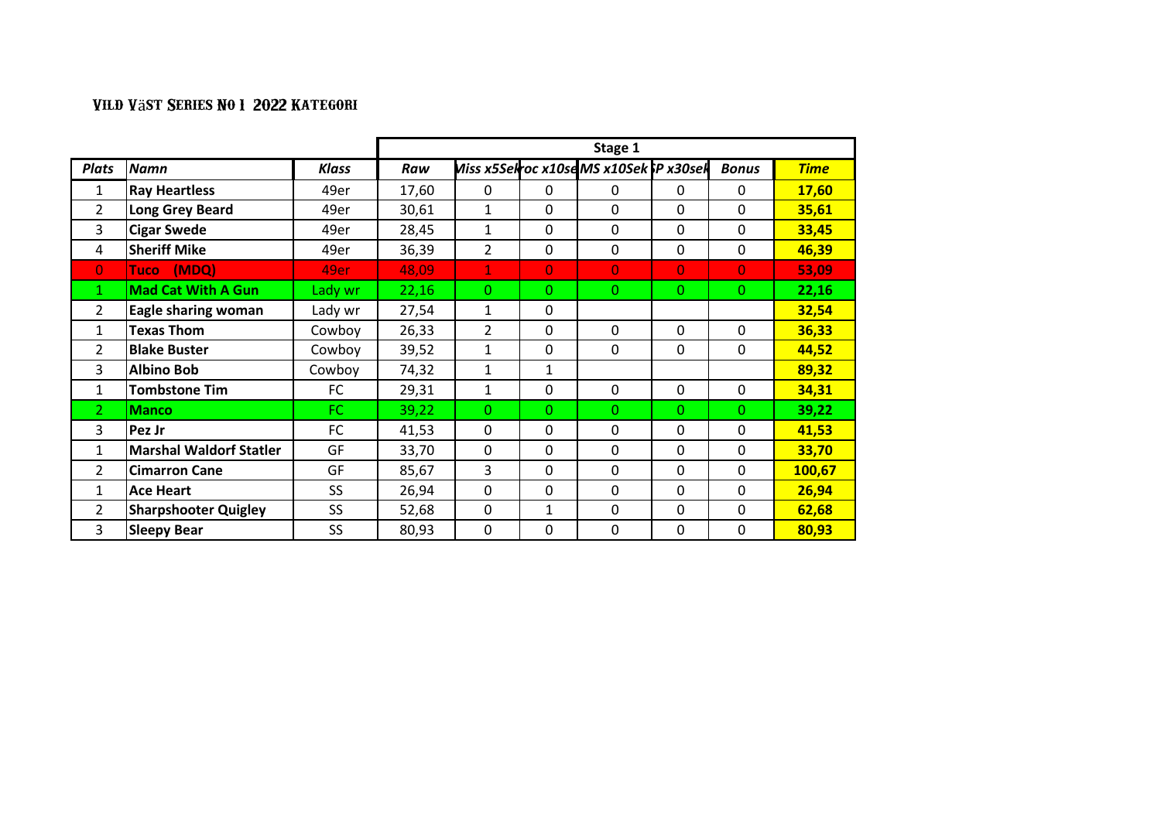|                |                             |           | Stage 1 |                |                |                                       |    |                |             |  |
|----------------|-----------------------------|-----------|---------|----------------|----------------|---------------------------------------|----|----------------|-------------|--|
| <b>Plats</b>   | <b>Namn</b>                 | Klass     | Raw     |                |                | Miss x5Selroc x10seMS x10Sek P x30sel |    | <b>Bonus</b>   | <b>Time</b> |  |
| $\mathbf{1}$   | <b>Ray Heartless</b>        | 49er      | 17,60   | $\mathbf 0$    | $\mathbf{0}$   | $\mathbf{0}$                          | 0  | 0              | 17,60       |  |
| $\overline{2}$ | Long Grey Beard             | 49er      | 30,61   | 1              | 0              | $\Omega$                              | 0  | 0              | 35,61       |  |
| 3              | <b>Cigar Swede</b>          | 49er      | 28,45   | $\mathbf{1}$   | 0              | 0                                     | 0  | 0              | 33,45       |  |
| 4              | <b>Sheriff Mike</b>         | 49er      | 36,39   | $\overline{2}$ | 0              | $\mathbf 0$                           | 0  | 0              | 46,39       |  |
| $\overline{0}$ | (MDQ)<br>Tucol              | 49er      | 48,09   | $\mathbf{1}$   | $\overline{0}$ | $\overline{0}$                        | 0  | $\overline{0}$ | 53,09       |  |
| 1              | <b>Mad Cat With A Gun</b>   | Lady wr   | 22,16   | $\Omega$       | $\Omega$       | $\Omega$                              | 0. | $\Omega$       | 22,16       |  |
| $\overline{2}$ | <b>Eagle sharing woman</b>  | Lady wr   | 27,54   | $\mathbf{1}$   | 0              |                                       |    |                | 32,54       |  |
| 1              | <b>Texas Thom</b>           | Cowboy    | 26,33   | $\overline{2}$ | 0              | 0                                     | 0  | 0              | 36,33       |  |
| $\overline{2}$ | <b>Blake Buster</b>         | Cowboy    | 39,52   | 1              | 0              | 0                                     | 0  | 0              | 44,52       |  |
| 3              | <b>Albino Bob</b>           | Cowboy    | 74,32   | $\mathbf{1}$   | $\mathbf{1}$   |                                       |    |                | 89,32       |  |
| $\mathbf{1}$   | <b>Tombstone Tim</b>        | <b>FC</b> | 29,31   | $\mathbf{1}$   | 0              | 0                                     | 0  | $\mathbf{0}$   | 34,31       |  |
| $\mathcal{L}$  | <b>Manco</b>                | FC.       | 39,22   | $\Omega$       | $\Omega$       | $\Omega$                              | 0. | $\Omega$       | 39,22       |  |
| 3              | Pez Jr                      | FC        | 41,53   | 0              | 0              | $\Omega$                              | 0  | 0              | 41,53       |  |
| 1              | Marshal Waldorf Statler     | GF        | 33,70   | 0              | 0              | 0                                     | 0  | 0              | 33,70       |  |
| $\overline{2}$ | <b>Cimarron Cane</b>        | GF        | 85,67   | 3              | 0              | 0                                     | 0  | 0              | 100,67      |  |
| $\mathbf{1}$   | <b>Ace Heart</b>            | <b>SS</b> | 26,94   | 0              | 0              | $\Omega$                              | 0  | $\Omega$       | 26,94       |  |
| 2              | <b>Sharpshooter Quigley</b> | <b>SS</b> | 52,68   | 0              | $\mathbf{1}$   | $\Omega$                              | 0  | $\Omega$       | 62,68       |  |
| 3              | <b>Sleepy Bear</b>          | SS.       | 80,93   | 0              | 0              | 0                                     | 0  | 0              | 80,93       |  |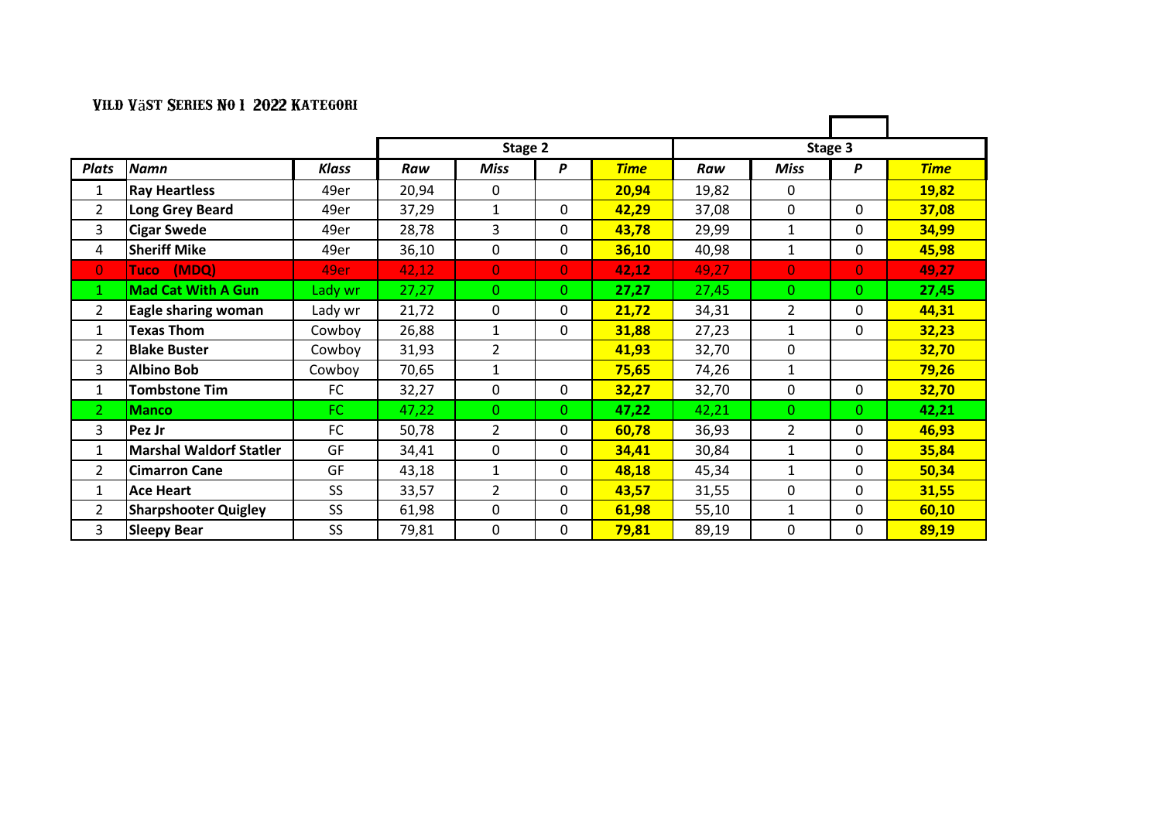|                |                                |              | Stage 2 |                |                |             |       |                |              |             |
|----------------|--------------------------------|--------------|---------|----------------|----------------|-------------|-------|----------------|--------------|-------------|
| <b>Plats</b>   | <b>Namn</b>                    | <b>Klass</b> | Raw     | <b>Miss</b>    | P              | <b>Time</b> | Raw   | <b>Miss</b>    | P            | <b>Time</b> |
| 1              | <b>Ray Heartless</b>           | 49er         | 20,94   | 0              |                | 20,94       | 19,82 | $\mathbf{0}$   |              | 19,82       |
| $\overline{2}$ | Long Grey Beard                | 49er         | 37,29   | 1              | 0              | 42,29       | 37,08 | 0              | 0            | 37,08       |
| 3              | <b>Cigar Swede</b>             | 49er         | 28,78   | 3              | 0              | 43,78       | 29,99 | 1              | 0            | 34,99       |
| 4              | <b>Sheriff Mike</b>            | 49er         | 36,10   | 0              | 0              | 36,10       | 40,98 | 1              | 0            | 45,98       |
| $\overline{0}$ | Tuco (MDQ)                     | 49er         | 42,12   | $\overline{0}$ | $\overline{0}$ | 42,12       | 49,27 | $\mathbf{0}$   | $\mathbf{0}$ | 49,27       |
| 1              | <b>Mad Cat With A Gun</b>      | Lady wr      | 27,27   | $\Omega$       | 0              | 27,27       | 27,45 | $\Omega$       | 0            | 27,45       |
| $\overline{2}$ | <b>Eagle sharing woman</b>     | Lady wr      | 21,72   | 0              | 0              | 21,72       | 34,31 | $\overline{2}$ | 0            | 44,31       |
| $\mathbf{1}$   | <b>Texas Thom</b>              | Cowboy       | 26,88   | 1              | 0              | 31,88       | 27,23 | 1              | 0            | 32,23       |
| $\mathcal{P}$  | <b>Blake Buster</b>            | Cowboy       | 31,93   | $\overline{2}$ |                | 41,93       | 32,70 | $\mathbf{0}$   |              | 32,70       |
| 3              | <b>Albino Bob</b>              | Cowboy       | 70,65   | 1              |                | 75,65       | 74,26 | 1              |              | 79,26       |
| 1              | <b>Tombstone Tim</b>           | FC           | 32,27   | 0              | 0              | 32,27       | 32,70 | $\mathbf 0$    | $\Omega$     | 32,70       |
| $\overline{2}$ | <b>Manco</b>                   | FC.          | 47,22   | $\Omega$       | $\mathbf{O}$   | 47,22       | 42,21 | $\Omega$       | 0            | 42,21       |
| 3              | Pez Jr                         | FC           | 50,78   | $\overline{2}$ | 0              | 60,78       | 36,93 | $\overline{2}$ | 0            | 46,93       |
| $\mathbf{1}$   | <b>Marshal Waldorf Statler</b> | GF           | 34,41   | 0              | 0              | 34,41       | 30,84 | $\mathbf{1}$   | $\mathbf{0}$ | 35,84       |
| $\overline{2}$ | <b>Cimarron Cane</b>           | GF           | 43,18   | 1              | 0              | 48,18       | 45,34 | $\mathbf{1}$   | 0            | 50,34       |
| $\mathbf{1}$   | <b>Ace Heart</b>               | <b>SS</b>    | 33,57   | $\overline{2}$ | 0              | 43,57       | 31,55 | $\mathbf{0}$   | $\mathbf{0}$ | 31,55       |
| 2              | <b>Sharpshooter Quigley</b>    | SS           | 61,98   | 0              | 0              | 61,98       | 55,10 | 1              | 0            | 60,10       |
| 3              | <b>Sleepy Bear</b>             | <b>SS</b>    | 79,81   | 0              | 0              | 79,81       | 89,19 | $\mathbf{0}$   | 0            | 89,19       |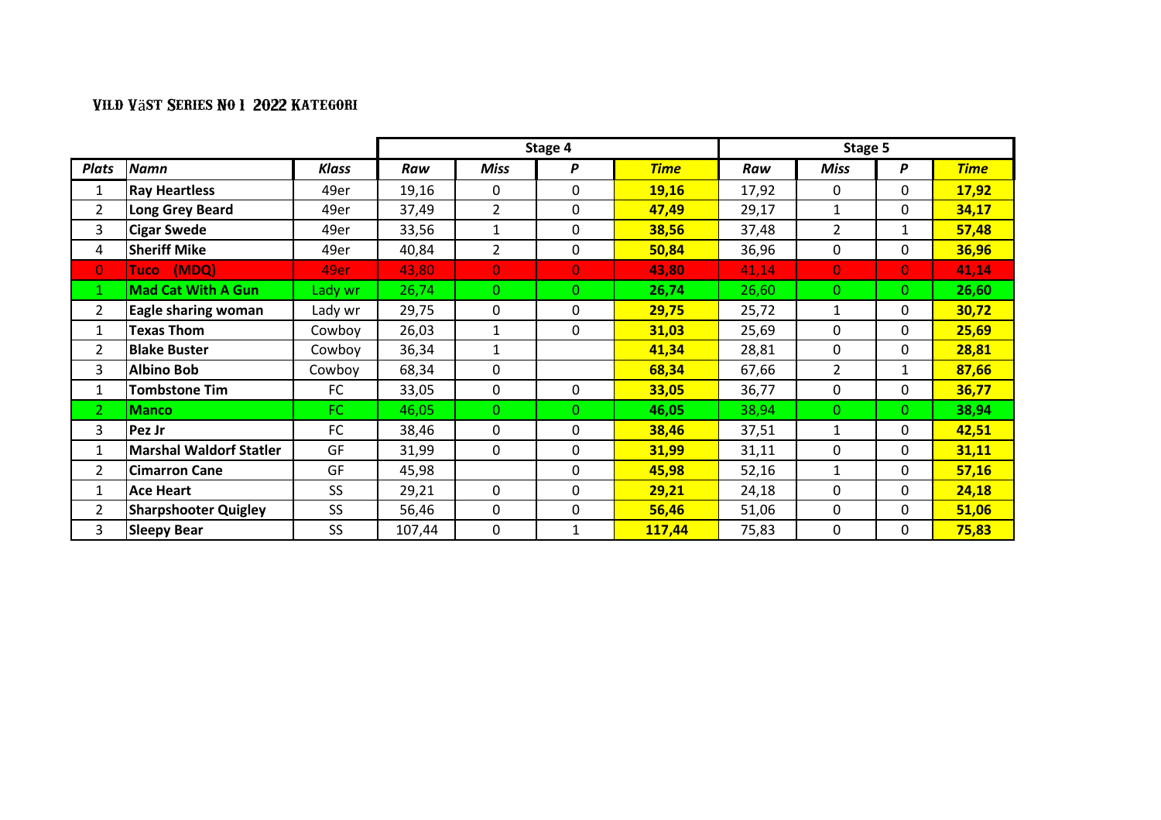|                |                                |           | Stage 4 |                |                | Stage 5     |       |                |              |             |
|----------------|--------------------------------|-----------|---------|----------------|----------------|-------------|-------|----------------|--------------|-------------|
| <b>Plats</b>   | <b>Namn</b>                    | Klass     | Raw     | Miss           | P              | <b>Time</b> | Raw   | <b>Miss</b>    | P            | <b>Time</b> |
| 1              | <b>Ray Heartless</b>           | 49er      | 19,16   | 0              | 0              | 19,16       | 17,92 | 0              | 0            | 17,92       |
| 2              | <b>Long Grey Beard</b>         | 49er      | 37,49   | 2              | 0              | 47,49       | 29,17 | 1              | 0            | 34,17       |
| 3              | <b>Cigar Swede</b>             | 49er      | 33,56   | 1              | 0              | 38,56       | 37,48 | $\overline{2}$ | 1            | 57,48       |
| 4              | <b>Sheriff Mike</b>            | 49er      | 40,84   | $\overline{2}$ | 0              | 50,84       | 36,96 | 0              | 0            | 36,96       |
| $\overline{0}$ | (MDQ)<br>Tuco                  | 49er      | 43,80   | $\overline{0}$ | $\overline{0}$ | 43,80       | 41,14 | $\overline{0}$ | $\mathbf{0}$ | 41,14       |
| $\mathbf{1}$   | <b>Mad Cat With A Gun</b>      | Lady wr   | 26,74   | $\Omega$       | 0              | 26,74       | 26,60 | $\Omega$       | 0.           | 26,60       |
| $\overline{2}$ | Eagle sharing woman            | Lady wr   | 29,75   | 0              | 0              | 29,75       | 25,72 | 1              | 0            | 30,72       |
| 1              | <b>Texas Thom</b>              | Cowboy    | 26,03   | 1              | 0              | 31,03       | 25,69 | 0              | 0            | 25,69       |
| 2              | <b>Blake Buster</b>            | Cowboy    | 36,34   | 1              |                | 41,34       | 28,81 | 0              | 0            | 28,81       |
| 3              | <b>Albino Bob</b>              | Cowboy    | 68,34   | 0              |                | 68,34       | 67,66 | $\overline{2}$ | 1            | 87,66       |
| 1              | <b>Tombstone Tim</b>           | FC        | 33,05   | 0              | $\mathbf{0}$   | 33,05       | 36,77 | 0              | 0            | 36,77       |
| $\overline{2}$ | <b>Manco</b>                   | FC.       | 46,05   | $\Omega$       | 0.             | 46,05       | 38,94 | $\Omega$       | 0.           | 38,94       |
| 3              | Pez Jr                         | FC        | 38,46   | 0              | 0              | 38,46       | 37,51 | 1              | 0            | 42,51       |
| 1              | <b>Marshal Waldorf Statler</b> | GF        | 31,99   | 0              | 0              | 31,99       | 31,11 | 0              | 0            | 31,11       |
| 2              | <b>Cimarron Cane</b>           | GF        | 45,98   |                | 0              | 45,98       | 52,16 | 1              | 0            | 57,16       |
| $\mathbf{1}$   | <b>Ace Heart</b>               | SS        | 29,21   | 0              | 0              | 29,21       | 24,18 | $\Omega$       | 0            | 24,18       |
| $\overline{2}$ | <b>Sharpshooter Quigley</b>    | SS        | 56,46   | 0              | 0              | 56,46       | 51,06 | 0              | 0            | 51,06       |
| 3              | <b>Sleepy Bear</b>             | <b>SS</b> | 107,44  | 0              |                | 117,44      | 75,83 | 0              | 0            | 75,83       |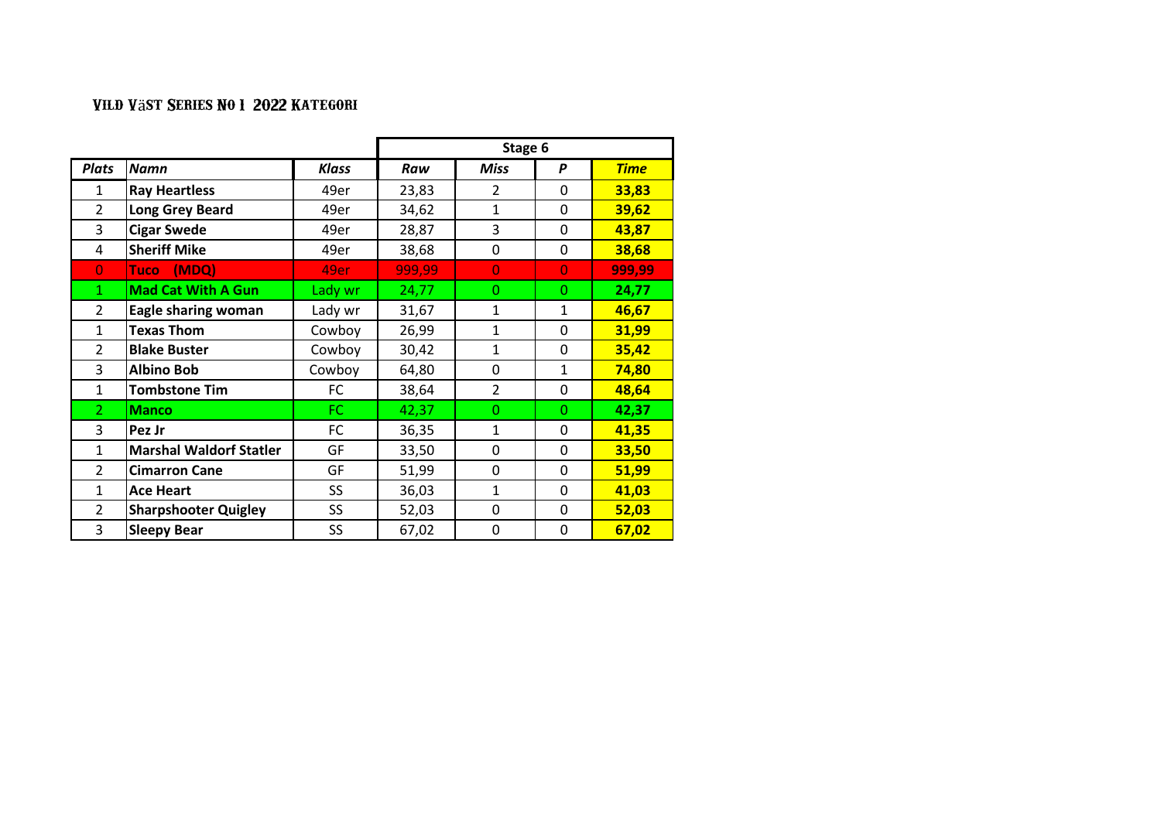|                |                                |              | Stage 6 |                |              |             |  |  |
|----------------|--------------------------------|--------------|---------|----------------|--------------|-------------|--|--|
| <b>Plats</b>   | <b>Namn</b>                    | <b>Klass</b> | Raw     | <b>Miss</b>    | P            | <b>Time</b> |  |  |
| 1              | <b>Ray Heartless</b>           | 49er         | 23,83   | $\mathcal{P}$  | $\mathbf{0}$ | 33,83       |  |  |
| $\overline{2}$ | <b>Long Grey Beard</b>         | 49er         | 34,62   | $\mathbf{1}$   | 0            | 39,62       |  |  |
| 3              | <b>Cigar Swede</b>             | 49er         | 28,87   | 3              | $\Omega$     | 43,87       |  |  |
| 4              | <b>Sheriff Mike</b>            | 49er         | 38,68   | 0              | $\mathbf{0}$ | 38,68       |  |  |
| $\overline{0}$ | (MDQ)<br><b>Tuco</b>           | 49er         | 999,99  | $\Omega$       | $\Omega$     | 999,99      |  |  |
| 1              | <b>Mad Cat With A Gun</b>      | Lady wr      | 24,77   | $\Omega$       | $\Omega$     | 24,77       |  |  |
| $\overline{2}$ | <b>Eagle sharing woman</b>     | Lady wr      | 31,67   | $\mathbf{1}$   | $\mathbf{1}$ | 46,67       |  |  |
| $\mathbf{1}$   | <b>Texas Thom</b>              | Cowboy       | 26,99   | $\mathbf{1}$   | 0            | 31,99       |  |  |
| $\overline{2}$ | <b>Blake Buster</b>            | Cowboy       | 30,42   | $\mathbf{1}$   | 0            | 35,42       |  |  |
| 3              | <b>Albino Bob</b>              | Cowboy       | 64,80   | $\mathbf{0}$   | $\mathbf{1}$ | 74,80       |  |  |
| $\mathbf{1}$   | <b>Tombstone Tim</b>           | FC           | 38,64   | $\overline{2}$ | 0            | 48,64       |  |  |
| $\mathcal{P}$  | <b>Manco</b>                   | FC.          | 42,37   | $\Omega$       | $\Omega$     | 42,37       |  |  |
| 3              | Pez Jr                         | <b>FC</b>    | 36,35   | $\mathbf{1}$   | $\mathbf{0}$ | 41,35       |  |  |
| 1              | <b>Marshal Waldorf Statler</b> | GF           | 33,50   | $\mathbf{0}$   | $\mathbf{0}$ | 33,50       |  |  |
| $\overline{2}$ | <b>Cimarron Cane</b>           | GF           | 51,99   | $\mathbf{0}$   | 0            | 51,99       |  |  |
| 1              | <b>Ace Heart</b>               | <b>SS</b>    | 36,03   | $\mathbf{1}$   | $\Omega$     | 41,03       |  |  |
| $\overline{2}$ | <b>Sharpshooter Quigley</b>    | SS           | 52,03   | $\Omega$       | $\Omega$     | 52,03       |  |  |
| 3              | <b>Sleepy Bear</b>             | SS           | 67,02   | 0              | 0            | 67,02       |  |  |